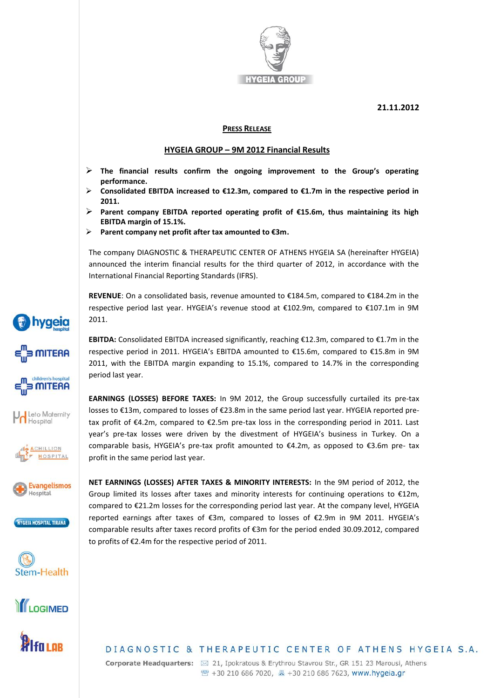

**21.11.2012**

## **PRESS RELEASE**

## **HYGEIA GROUP – 9M 2012 Financial Results**

- **The financial results confirm the ongoing improvement to the Group's operating performance.**
- **Consolidated EBITDA increased to €12.3m, compared to €1.7m in the respective period in 2011.**
- **Parent company EBITDA reported operating profit of €15.6m, thus maintaining its high EBITDA margin of 15.1%.**
- **Parent company net profit after tax amounted to €3m.**

The company DIAGNOSTIC & THERAPEUTIC CENTER OF ATHENS HYGEIA SA (hereinafter HYGEIA) announced the interim financial results for the third quarter of 2012, in accordance with the International Financial Reporting Standards (IFRS).

**REVENUE**: On a consolidated basis, revenue amounted to €184.5m, compared to €184.2m in the respective period last year. HYGEIA's revenue stood at €102.9m, compared to €107.1m in 9M 2011.

**EBITDA:** Consolidated EBITDA increased significantly, reaching €12.3m, compared to €1.7m in the respective period in 2011. HYGEIA's EBITDA amounted to €15.6m, compared to €15.8m in 9M 2011, with the EBITDA margin expanding to 15.1%, compared to 14.7% in the corresponding period last year.

**EARNINGS (LOSSES) BEFORE TAXES:** In 9M 2012, the Group successfully curtailed its pre-tax losses to €13m, compared to losses of €23.8m in the same period last year. HYGEIA reported pretax profit of €4.2m, compared to €2.5m pre-tax loss in the corresponding period in 2011. Last year's pre-tax losses were driven by the divestment of HYGEIA's business in Turkey. On a comparable basis, HYGEIA's pre-tax profit amounted to €4.2m, as opposed to €3.6m pre- tax profit in the same period last year.

**NET EARNINGS (LOSSES) AFTER TAXES & MINORITY INTERESTS:** In the 9M period of 2012, the Group limited its losses after taxes and minority interests for continuing operations to €12m, compared to €21.2m losses for the corresponding period last year. At the company level, HYGEIA reported earnings after taxes of €3m, compared to losses of €2.9m in 9M 2011. HYGEIA's comparable results after taxes record profits of €3m for the period ended 30.09.2012, compared to profits of €2.4m for the respective period of 2011.



**hygeia** 

**SMITERA** 

**MITERA** 

Leto Maternity Hospital

> ACHILLION HOSPITAL

**Evangelismos** Hospital

HYGEIA HOSPITAL TIRANA

Stem-Health

**fri or** 

DIAGNOSTIC & THERAPEUTIC CENTER OF ATHENS HYGEIA S.A.

Corporate Headquarters: ⊠ 21, Ipokratous & Erythrou Stavrou Str., GR 151 23 Marousi, Athens <sup>2</sup> +30 210 686 7020, 图 +30 210 686 7623, www.hygeia.gr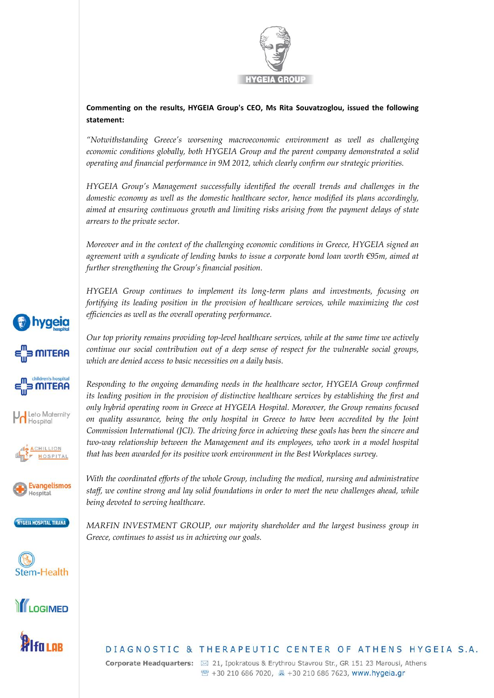

**Commenting on the results, HYGEIA Group's CEO, Ms Rita Souvatzoglou, issued the following statement:**

*"Notwithstanding Greece's worsening macroeconomic environment as well as challenging economic conditions globally, both HYGEIA Group and the parent company demonstrated a solid operating and financial performance in 9M 2012, which clearly confirm our strategic priorities.* 

*HYGEIA Group's Management successfully identified the overall trends and challenges in the domestic economy as well as the domestic healthcare sector, hence modified its plans accordingly, aimed at ensuring continuous growth and limiting risks arising from the payment delays of state arrears to the private sector.*

*Moreover and in the context of the challenging economic conditions in Greece, HYGEIA signed an agreement with a syndicate of lending banks to issue a corporate bond loan worth €95m, aimed at further strengthening the Group's financial position.* 

*HYGEIA Group continues to implement its long-term plans and investments, focusing on fortifying its leading position in the provision of healthcare services, while maximizing the cost efficiencies as well as the overall operating performance.* 

*Our top priority remains providing top-level healthcare services, while at the same time we actively continue our social contribution out of a deep sense of respect for the vulnerable social groups, which are denied access to basic necessities on a daily basis.*

*Responding to the ongoing demanding needs in the healthcare sector, HYGEIA Group confirmed its leading position in the provision of distinctive healthcare services by establishing the first and only hybrid operating room in Greece at HYGEIA Hospital. Moreover, the Group remains focused on quality assurance, being the only hospital in Greece to have been accredited by the Joint Commission International (JCI). The driving force in achieving these goals has been the sincere and two-way relationship between the Management and its employees, who work in a model hospital that has been awarded for its positive work environment in the Best Workplaces survey.*

**Evangelismos** Hospital

**hygeia** 

**MITERA** 

**MITERA** 

I Leto Maternity Hospital

> ACHILLION HOSPITAL



Stem-Health





*staff, we contine strong and lay solid foundations in order to meet the new challenges ahead, while being devoted to serving healthcare.*

*With the coordinated efforts of the whole Group, including the medical, nursing and administrative* 

*MARFIN INVESTMENT GROUP, our majority shareholder and the largest business group in Greece, continues to assist us in achieving our goals.*

## DIAGNOSTIC & THERAPEUTIC CENTER OF ATHENS HYGEIA S.A.

Corporate Headquarters: ⊠ 21, Ipokratous & Erythrou Stavrou Str., GR 151 23 Marousi, Athens <sup>2</sup> +30 210 686 7020, ■ +30 210 686 7623, www.hygeia.gr